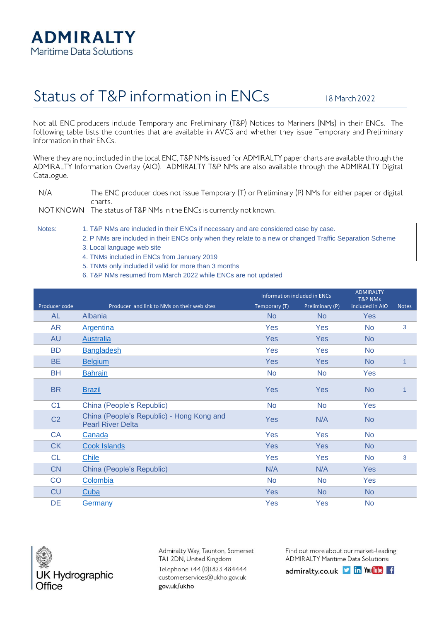

## Status of T&P information in ENCs

18 March 2022

Not all ENC producers include Temporary and Preliminary (T&P) Notices to Mariners (NMs) in their ENCs. The following table lists the countries that are available in AVCS and whether they issue Temporary and Preliminary information in their ENCs.

Where they are not included in the local ENC, T&P NMs issued for ADMIRALTY paper charts are available through the ADMIRALTY Information Overlay (AIO). ADMIRALTY T&P NMs are also available through the ADMIRALTY Digital Catalogue.

 $N/A$ The ENC producer does not issue Temporary (T) or Preliminary (P) NMs for either paper or digital charts.

NOT KNOWN The status of T&P NMs in the ENCs is currently not known.

Notes: 1. T&P NMs are included in their ENCs if necessary and are considered case by case.

- 2. P NMs are included in their ENCs only when they relate to a new or changed Traffic Separation Scheme
- 3. Local language web site
- 4. TNMs included in ENCs from January 2019
- 5. TNMs only included if valid for more than 3 months
- 6. T&P NMs resumed from March 2022 while ENCs are not updated

|                |                                                                       |               | Information included in ENCs |                 |              |
|----------------|-----------------------------------------------------------------------|---------------|------------------------------|-----------------|--------------|
| Producer code  | Producer and link to NMs on their web sites                           | Temporary (T) | Preliminary (P)              | included in AIO | <b>Notes</b> |
| <b>AL</b>      | Albania                                                               | <b>No</b>     | <b>No</b>                    | <b>Yes</b>      |              |
| <b>AR</b>      | <b>Argentina</b>                                                      | Yes           | Yes                          | <b>No</b>       | 3            |
| <b>AU</b>      | Australia                                                             | <b>Yes</b>    | <b>Yes</b>                   | <b>No</b>       |              |
| <b>BD</b>      | <b>Bangladesh</b>                                                     | Yes           | Yes                          | <b>No</b>       |              |
| <b>BE</b>      | <b>Belgium</b>                                                        | <b>Yes</b>    | Yes                          | <b>No</b>       | $\mathbf{1}$ |
| <b>BH</b>      | <b>Bahrain</b>                                                        | <b>No</b>     | <b>No</b>                    | Yes             |              |
| <b>BR</b>      | <b>Brazil</b>                                                         | <b>Yes</b>    | <b>Yes</b>                   | <b>No</b>       | 1            |
| C <sub>1</sub> | China (People's Republic)                                             | <b>No</b>     | <b>No</b>                    | Yes             |              |
| C <sub>2</sub> | China (People's Republic) - Hong Kong and<br><b>Pearl River Delta</b> | <b>Yes</b>    | N/A                          | <b>No</b>       |              |
| <b>CA</b>      | Canada                                                                | Yes           | Yes                          | <b>No</b>       |              |
| <b>CK</b>      | <b>Cook Islands</b>                                                   | Yes           | Yes                          | <b>No</b>       |              |
| <b>CL</b>      | Chile                                                                 | Yes           | Yes                          | <b>No</b>       | 3            |
| <b>CN</b>      | China (People's Republic)                                             | N/A           | N/A                          | <b>Yes</b>      |              |
| CO             | Colombia                                                              | <b>No</b>     | <b>No</b>                    | Yes             |              |
| <b>CU</b>      | Cuba                                                                  | Yes           | <b>No</b>                    | <b>No</b>       |              |
| DE             | <b>Germany</b>                                                        | Yes           | Yes                          | <b>No</b>       |              |



Admiralty Way, Taunton, Somerset TAI 2DN, United Kingdom Telephone +44 (0) 1823 484444 customerservices@ukho.gov.uk gov.uk/ukho

Find out more about our market-leading **ADMIRALTY Maritime Data Solutions:** 

admiralty.co.uk **J in You Tube** f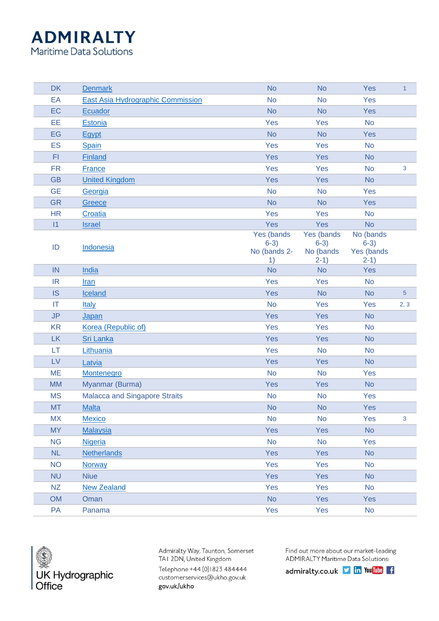## **ADMIRALTY**

Maritime Data Solutions

| <b>DK</b> | <b>Denmark</b>                           | <b>No</b>                                  | <b>No</b>                                   | Yes                                         | $\mathbf{1}$   |
|-----------|------------------------------------------|--------------------------------------------|---------------------------------------------|---------------------------------------------|----------------|
| EA        | <b>East Asia Hydrographic Commission</b> | <b>No</b>                                  | <b>No</b>                                   | Yes                                         |                |
| EC        | <b>Ecuador</b>                           | <b>No</b>                                  | <b>No</b>                                   | Yes                                         |                |
| EE        | <b>Estonia</b>                           | Yes                                        | Yes                                         | <b>No</b>                                   |                |
| EG        | Egypt                                    | <b>No</b>                                  | <b>No</b>                                   | Yes                                         |                |
| <b>ES</b> | <b>Spain</b>                             | Yes                                        | Yes                                         | <b>No</b>                                   |                |
| F1        | <b>Finland</b>                           | Yes                                        | Yes                                         | <b>No</b>                                   |                |
| <b>FR</b> | <b>France</b>                            | Yes                                        | Yes                                         | <b>No</b>                                   | 3              |
| <b>GB</b> | <b>United Kingdom</b>                    | Yes                                        | Yes                                         | <b>No</b>                                   |                |
| <b>GE</b> | Georgia                                  | <b>No</b>                                  | <b>No</b>                                   | Yes                                         |                |
| <b>GR</b> | Greece                                   | <b>No</b>                                  | <b>No</b>                                   | Yes                                         |                |
| <b>HR</b> | Croatia                                  | Yes                                        | Yes                                         | <b>No</b>                                   |                |
| 1         | <b>Israel</b>                            | Yes                                        | Yes                                         | <b>No</b>                                   |                |
| ID        | <b>Indonesia</b>                         | Yes (bands<br>$6-3)$<br>No (bands 2-<br>1) | Yes (bands<br>$6-3)$<br>No (bands<br>$2-1)$ | No (bands<br>$6-3)$<br>Yes (bands<br>$2-1)$ |                |
| IN        | India                                    | <b>No</b>                                  | <b>No</b>                                   | Yes                                         |                |
| <b>IR</b> | Iran                                     | Yes                                        | Yes                                         | <b>No</b>                                   |                |
| <b>IS</b> | Iceland                                  | Yes                                        | <b>No</b>                                   | <b>No</b>                                   | $\overline{5}$ |
| IT        | <b>Italy</b>                             | <b>No</b>                                  | Yes                                         | Yes                                         | 2, 3           |
| <b>JP</b> | Japan                                    | Yes                                        | Yes                                         | <b>No</b>                                   |                |
| <b>KR</b> | Korea (Republic of)                      | Yes                                        | Yes                                         | <b>No</b>                                   |                |
| <b>LK</b> | <b>Sri Lanka</b>                         | Yes                                        | Yes                                         | <b>No</b>                                   |                |
| LT        | Lithuania                                | Yes                                        | <b>No</b>                                   | <b>No</b>                                   |                |
| LV        | Latvia                                   | Yes                                        | Yes                                         | <b>No</b>                                   |                |
| <b>ME</b> | <b>Montenegro</b>                        | <b>No</b>                                  | <b>No</b>                                   | Yes                                         |                |
| <b>MM</b> | Myanmar (Burma)                          | Yes                                        | Yes                                         | <b>No</b>                                   |                |
| <b>MS</b> | <b>Malacca and Singapore Straits</b>     | <b>No</b>                                  | <b>No</b>                                   | Yes                                         |                |
| <b>MT</b> | <b>Malta</b>                             | <b>No</b>                                  | <b>No</b>                                   | Yes                                         |                |
| <b>MX</b> | Mexico                                   | <b>No</b>                                  | <b>No</b>                                   | Yes                                         | 3              |
| <b>MY</b> | <b>Malaysia</b>                          | Yes                                        | Yes                                         | <b>No</b>                                   |                |
| <b>NG</b> | <b>Nigeria</b>                           | <b>No</b>                                  | <b>No</b>                                   | Yes                                         |                |
| NL        | <b>Netherlands</b>                       | Yes                                        | Yes                                         | <b>No</b>                                   |                |
| <b>NO</b> | <b>Norway</b>                            | Yes                                        | Yes                                         | <b>No</b>                                   |                |
| <b>NU</b> | <b>Niue</b>                              | Yes                                        | Yes                                         | <b>No</b>                                   |                |
| <b>NZ</b> | <b>New Zealand</b>                       | Yes                                        | Yes                                         | <b>No</b>                                   |                |
| <b>OM</b> | Oman                                     | <b>No</b>                                  | Yes                                         | Yes                                         |                |
| PA        | Panama                                   | Yes                                        | Yes                                         | <b>No</b>                                   |                |



Admiralty Way, Taunton, Somerset TAI 2DN, United Kingdom Telephone +44 (0)1823 484444 customerservices@ukho.gov.uk gov.uk/ukho

Find out more about our market-leading **ADMIRALTY Maritime Data Solutions:** 

admiralty.co.uk I in You Tube f